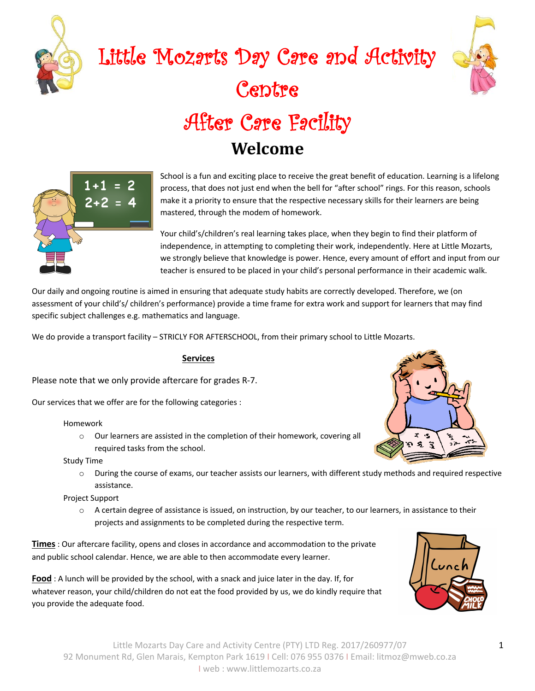

# Little Mozarts Day Care and Activity Centre After Care Facility **Welcome**



School is a fun and exciting place to receive the great benefit of education. Learning is a lifelong process, that does not just end when the bell for "after school" rings. For this reason, schools make it a priority to ensure that the respective necessary skills for their learners are being mastered, through the modem of homework.

Your child's/children's real learning takes place, when they begin to find their platform of independence, in attempting to completing their work, independently. Here at Little Mozarts, we strongly believe that knowledge is power. Hence, every amount of effort and input from our teacher is ensured to be placed in your child's personal performance in their academic walk.

Our daily and ongoing routine is aimed in ensuring that adequate study habits are correctly developed. Therefore, we (on assessment of your child's/ children's performance) provide a time frame for extra work and support for learners that may find specific subject challenges e.g. mathematics and language.

We do provide a transport facility – STRICLY FOR AFTERSCHOOL, from their primary school to Little Mozarts.

#### **Services**

Please note that we only provide aftercare for grades R-7.

Our services that we offer are for the following categories :

#### Homework

o Our learners are assisted in the completion of their homework, covering all required tasks from the school.

Study Time

o During the course of exams, our teacher assists our learners, with different study methods and required respective assistance.

Project Support

 $\circ$  A certain degree of assistance is issued, on instruction, by our teacher, to our learners, in assistance to their projects and assignments to be completed during the respective term.

**Times** : Our aftercare facility, opens and closes in accordance and accommodation to the private and public school calendar. Hence, we are able to then accommodate every learner.

**Food** : A lunch will be provided by the school, with a snack and juice later in the day. If, for whatever reason, your child/children do not eat the food provided by us, we do kindly require that you provide the adequate food.



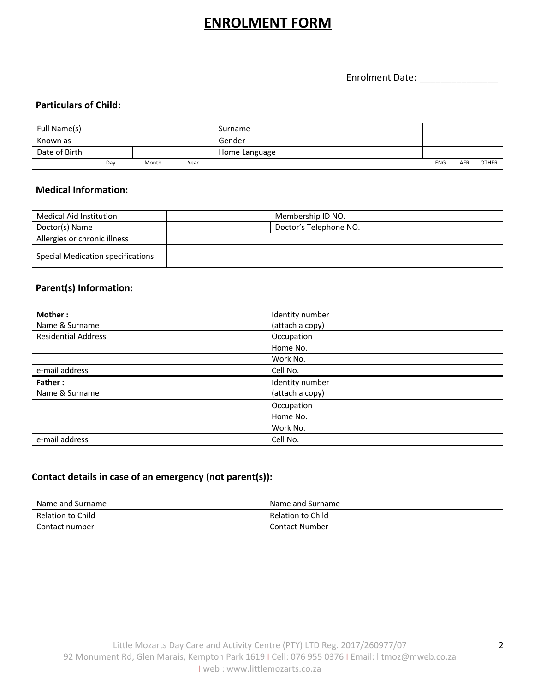# **ENROLMENT FORM**

Enrolment Date: \_\_\_\_\_\_\_\_\_\_\_\_\_\_\_

#### **Particulars of Child:**

| Full Name(s)  |     |       |      | Surname       |            |     |              |
|---------------|-----|-------|------|---------------|------------|-----|--------------|
| Known as      |     |       |      | Gender        |            |     |              |
| Date of Birth |     |       |      | Home Language |            |     |              |
|               | Day | Month | Year |               | <b>ENG</b> | AFR | <b>OTHER</b> |

#### **Medical Information:**

| Medical Aid Institution           | Membership ID NO.      |  |
|-----------------------------------|------------------------|--|
| Doctor(s) Name                    | Doctor's Telephone NO. |  |
| Allergies or chronic illness      |                        |  |
| Special Medication specifications |                        |  |

### **Parent(s) Information:**

| Mother:                    | Identity number |  |
|----------------------------|-----------------|--|
| Name & Surname             | (attach a copy) |  |
| <b>Residential Address</b> | Occupation      |  |
|                            | Home No.        |  |
|                            | Work No.        |  |
| e-mail address             | Cell No.        |  |
|                            |                 |  |
| Father:                    | Identity number |  |
| Name & Surname             | (attach a copy) |  |
|                            | Occupation      |  |
|                            | Home No.        |  |
|                            | Work No.        |  |

## **Contact details in case of an emergency (not parent(s)):**

| Name and Surname  | Name and Surname  |  |
|-------------------|-------------------|--|
| Relation to Child | Relation to Child |  |
| Contact number    | Contact Number    |  |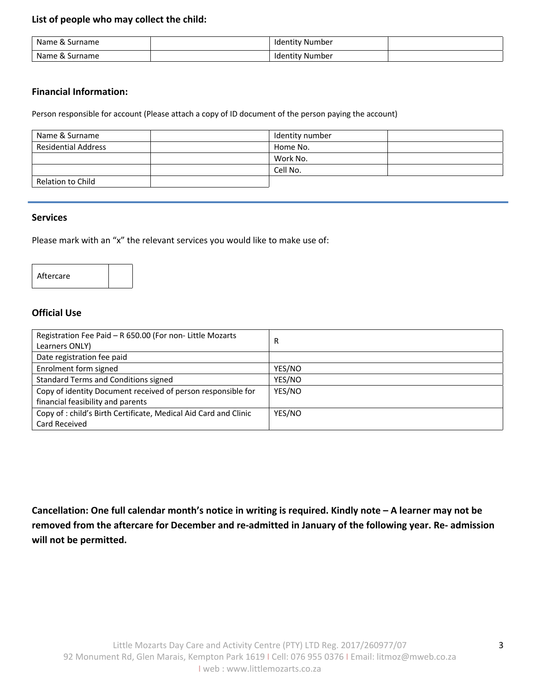#### **List of people who may collect the child:**

| Name<br>Surname<br>ິດປ      | Identity Number      |  |
|-----------------------------|----------------------|--|
| Name<br>Surname<br>$\alpha$ | / Number<br>ldentity |  |

#### **Financial Information:**

Person responsible for account (Please attach a copy of ID document of the person paying the account)

| Name & Surname             | Identity number |  |
|----------------------------|-----------------|--|
| <b>Residential Address</b> | Home No.        |  |
|                            | Work No.        |  |
|                            | Cell No.        |  |
| Relation to Child          |                 |  |

#### **Services**

Please mark with an "x" the relevant services you would like to make use of:

#### Aftercare

#### **Official Use**

| Registration Fee Paid - R 650.00 (For non- Little Mozarts        | R      |
|------------------------------------------------------------------|--------|
| Learners ONLY)                                                   |        |
| Date registration fee paid                                       |        |
| Enrolment form signed                                            | YES/NO |
| Standard Terms and Conditions signed                             | YES/NO |
| Copy of identity Document received of person responsible for     | YES/NO |
| financial feasibility and parents                                |        |
| Copy of : child's Birth Certificate, Medical Aid Card and Clinic | YES/NO |
| Card Received                                                    |        |

**Cancellation: One full calendar month's notice in writing is required. Kindly note – A learner may not be removed from the aftercare for December and re-admitted in January of the following year. Re- admission will not be permitted.**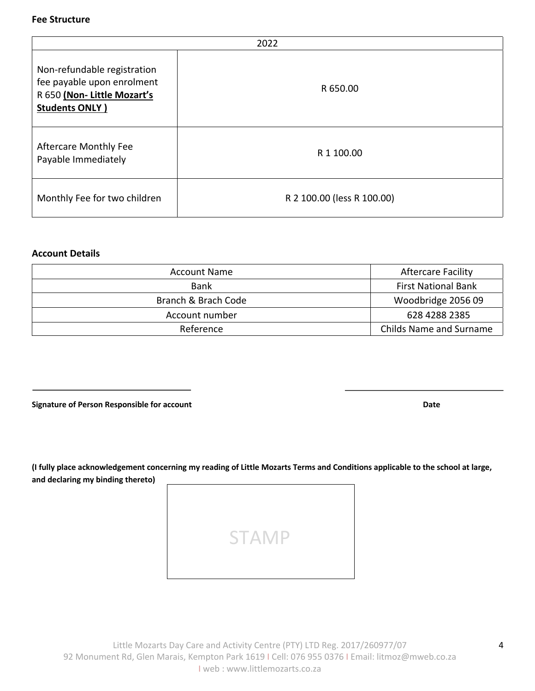#### **Fee Structure**

| 2022                                                                                                              |                            |  |  |  |
|-------------------------------------------------------------------------------------------------------------------|----------------------------|--|--|--|
| Non-refundable registration<br>fee payable upon enrolment<br>R 650 (Non-Little Mozart's<br><b>Students ONLY )</b> | R 650.00                   |  |  |  |
| <b>Aftercare Monthly Fee</b><br>Payable Immediately                                                               | R 1 100.00                 |  |  |  |
| Monthly Fee for two children                                                                                      | R 2 100.00 (less R 100.00) |  |  |  |

#### **Account Details**

| <b>Account Name</b> | <b>Aftercare Facility</b>      |
|---------------------|--------------------------------|
| <b>Bank</b>         | <b>First National Bank</b>     |
| Branch & Brach Code | Woodbridge 2056 09             |
| Account number      | 628 4288 2385                  |
| Reference           | <b>Childs Name and Surname</b> |

**Signature of Person Responsible for account data control of the set of Person Responsible for account Date** 

**(I fully place acknowledgement concerning my reading of Little Mozarts Terms and Conditions applicable to the school at large, and declaring my binding thereto)**

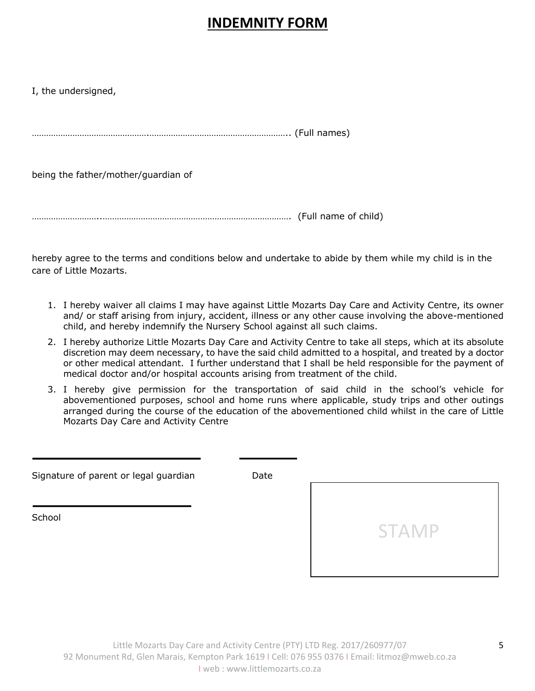# **INDEMNITY FORM**

I, the undersigned,

………………………………………….………………………………………………….. (Full names)

being the father/mother/guardian of

………………………..……………………………………………………………………. (Full name of child)

hereby agree to the terms and conditions below and undertake to abide by them while my child is in the care of Little Mozarts.

- 1. I hereby waiver all claims I may have against Little Mozarts Day Care and Activity Centre, its owner and/ or staff arising from injury, accident, illness or any other cause involving the above-mentioned child, and hereby indemnify the Nursery School against all such claims.
- 2. I hereby authorize Little Mozarts Day Care and Activity Centre to take all steps, which at its absolute discretion may deem necessary, to have the said child admitted to a hospital, and treated by a doctor or other medical attendant. I further understand that I shall be held responsible for the payment of medical doctor and/or hospital accounts arising from treatment of the child.
- 3. I hereby give permission for the transportation of said child in the school's vehicle for abovementioned purposes, school and home runs where applicable, study trips and other outings arranged during the course of the education of the abovementioned child whilst in the care of Little Mozarts Day Care and Activity Centre

| Date |              |
|------|--------------|
|      | <b>STAMP</b> |
|      |              |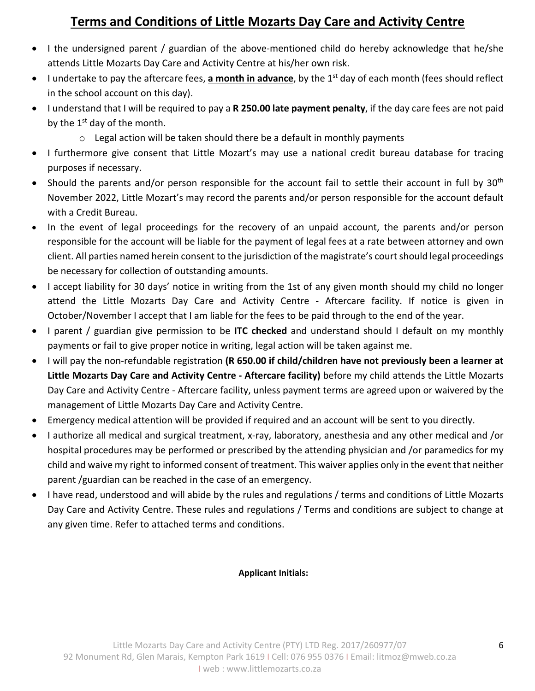## **Terms and Conditions of Little Mozarts Day Care and Activity Centre**

- I the undersigned parent / guardian of the above-mentioned child do hereby acknowledge that he/she attends Little Mozarts Day Care and Activity Centre at his/her own risk.
- I undertake to pay the aftercare fees, **a month in advance**, by the 1st day of each month (fees should reflect in the school account on this day).
- I understand that I will be required to pay a **R 250.00 late payment penalty**, if the day care fees are not paid by the  $1<sup>st</sup>$  day of the month.
	- $\circ$  Legal action will be taken should there be a default in monthly payments
- I furthermore give consent that Little Mozart's may use a national credit bureau database for tracing purposes if necessary.
- Should the parents and/or person responsible for the account fail to settle their account in full by 30<sup>th</sup> November 2022, Little Mozart's may record the parents and/or person responsible for the account default with a Credit Bureau.
- In the event of legal proceedings for the recovery of an unpaid account, the parents and/or person responsible for the account will be liable for the payment of legal fees at a rate between attorney and own client. All parties named herein consent to the jurisdiction of the magistrate's court should legal proceedings be necessary for collection of outstanding amounts.
- I accept liability for 30 days' notice in writing from the 1st of any given month should my child no longer attend the Little Mozarts Day Care and Activity Centre - Aftercare facility. If notice is given in October/November I accept that I am liable for the fees to be paid through to the end of the year.
- I parent / guardian give permission to be **ITC checked** and understand should I default on my monthly payments or fail to give proper notice in writing, legal action will be taken against me.
- I will pay the non-refundable registration **(R 650.00 if child/children have not previously been a learner at Little Mozarts Day Care and Activity Centre - Aftercare facility)** before my child attends the Little Mozarts Day Care and Activity Centre - Aftercare facility, unless payment terms are agreed upon or waivered by the management of Little Mozarts Day Care and Activity Centre.
- Emergency medical attention will be provided if required and an account will be sent to you directly.
- I authorize all medical and surgical treatment, x-ray, laboratory, anesthesia and any other medical and /or hospital procedures may be performed or prescribed by the attending physician and /or paramedics for my child and waive my right to informed consent of treatment. This waiver applies only in the event that neither parent /guardian can be reached in the case of an emergency.
- I have read, understood and will abide by the rules and regulations / terms and conditions of Little Mozarts Day Care and Activity Centre. These rules and regulations / Terms and conditions are subject to change at any given time. Refer to attached terms and conditions.

## **Applicant Initials:**